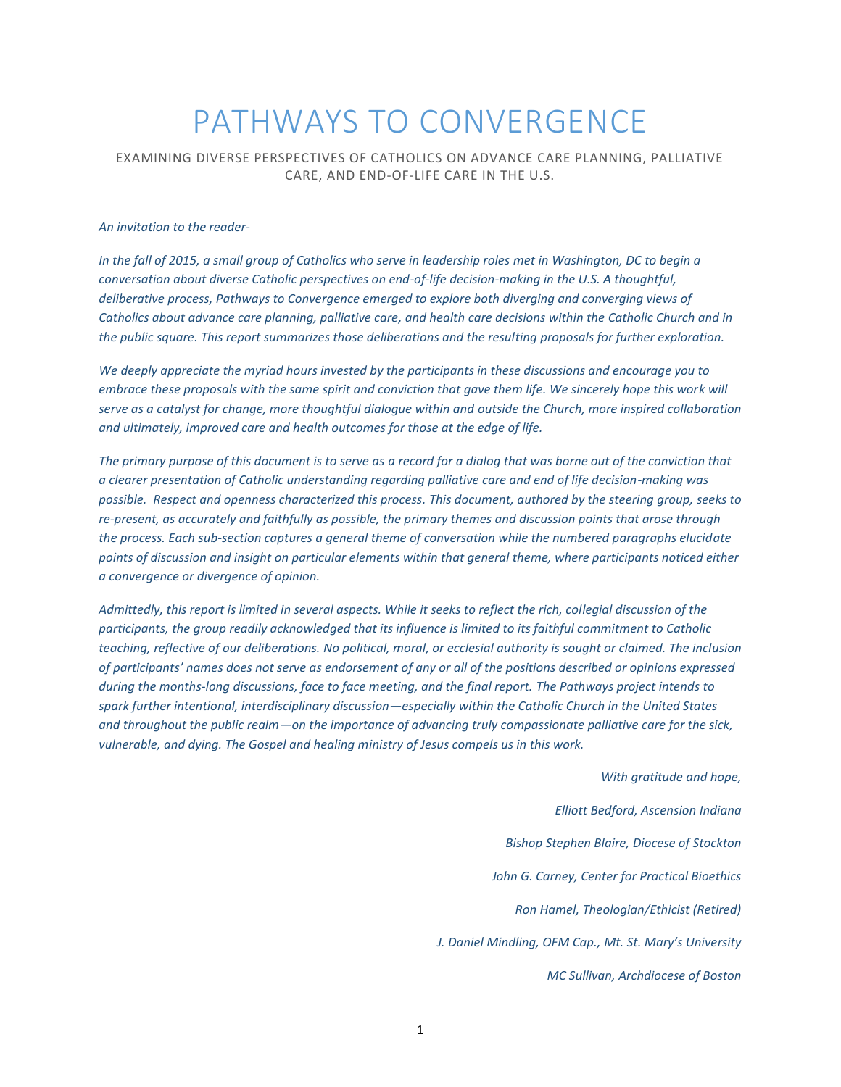# PATHWAYS TO CONVERGENCE

EXAMINING DIVERSE PERSPECTIVES OF CATHOLICS ON ADVANCE CARE PLANNING, PALLIATIVE CARE, AND END-OF-LIFE CARE IN THE U.S.

#### *An invitation to the reader-*

*In the fall of 2015, a small group of Catholics who serve in leadership roles met in Washington, DC to begin a conversation about diverse Catholic perspectives on end-of-life decision-making in the U.S. A thoughtful, deliberative process, Pathways to Convergence emerged to explore both diverging and converging views of Catholics about advance care planning, palliative care, and health care decisions within the Catholic Church and in the public square. This report summarizes those deliberations and the resulting proposals for further exploration.*

*We deeply appreciate the myriad hours invested by the participants in these discussions and encourage you to embrace these proposals with the same spirit and conviction that gave them life. We sincerely hope this work will serve as a catalyst for change, more thoughtful dialogue within and outside the Church, more inspired collaboration and ultimately, improved care and health outcomes for those at the edge of life.*

*The primary purpose of this document is to serve as a record for a dialog that was borne out of the conviction that a clearer presentation of Catholic understanding regarding palliative care and end of life decision-making was possible. Respect and openness characterized this process. This document, authored by the steering group, seeks to re-present, as accurately and faithfully as possible, the primary themes and discussion points that arose through the process. Each sub-section captures a general theme of conversation while the numbered paragraphs elucidate points of discussion and insight on particular elements within that general theme, where participants noticed either a convergence or divergence of opinion.* 

*Admittedly, this report is limited in several aspects. While it seeks to reflect the rich, collegial discussion of the participants, the group readily acknowledged that its influence is limited to its faithful commitment to Catholic teaching, reflective of our deliberations. No political, moral, or ecclesial authority is sought or claimed. The inclusion of participants' names does not serve as endorsement of any or all of the positions described or opinions expressed during the months-long discussions, face to face meeting, and the final report. The Pathways project intends to spark further intentional, interdisciplinary discussion—especially within the Catholic Church in the United States and throughout the public realm—on the importance of advancing truly compassionate palliative care for the sick, vulnerable, and dying. The Gospel and healing ministry of Jesus compels us in this work.* 

> *With gratitude and hope, Elliott Bedford, Ascension Indiana Bishop Stephen Blaire, Diocese of Stockton John G. Carney, Center for Practical Bioethics Ron Hamel, Theologian/Ethicist (Retired) J. Daniel Mindling, OFM Cap., Mt. St. Mary's University MC Sullivan, Archdiocese of Boston*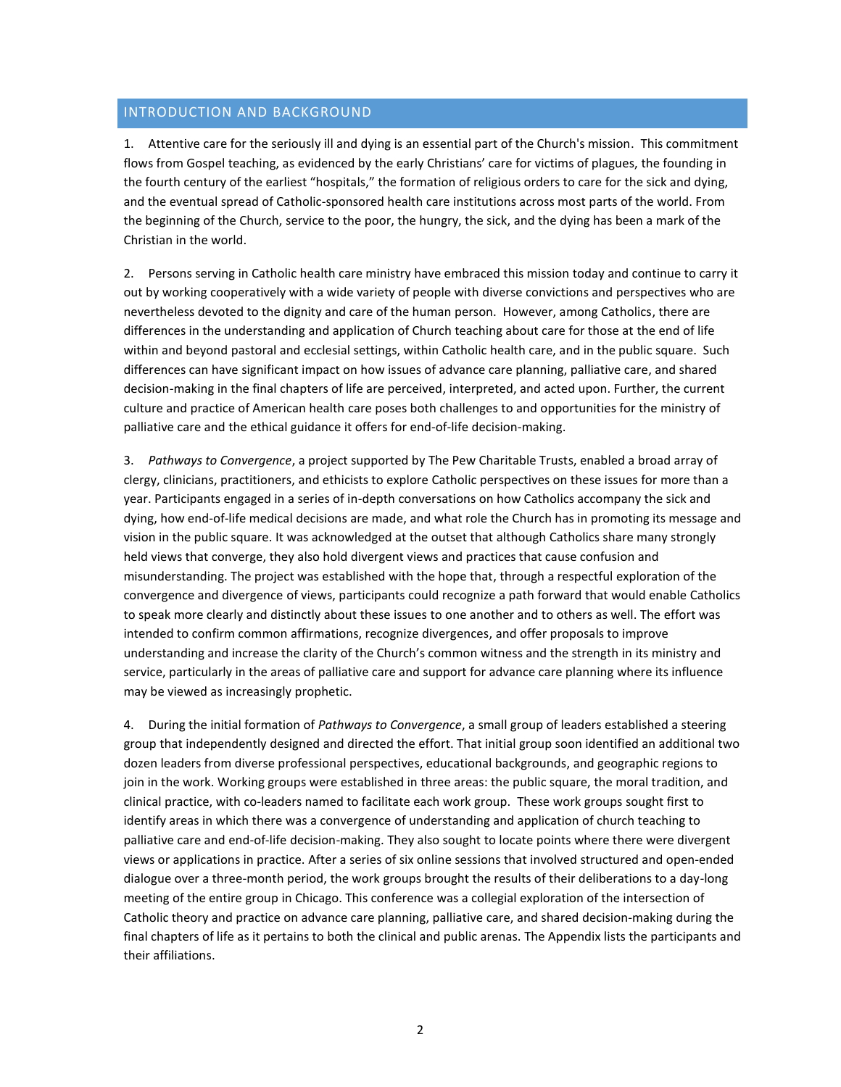### INTRODUCTION AND BACKGROUND

1. Attentive care for the seriously ill and dying is an essential part of the Church's mission. This commitment flows from Gospel teaching, as evidenced by the early Christians' care for victims of plagues, the founding in the fourth century of the earliest "hospitals," the formation of religious orders to care for the sick and dying, and the eventual spread of Catholic-sponsored health care institutions across most parts of the world. From the beginning of the Church, service to the poor, the hungry, the sick, and the dying has been a mark of the Christian in the world.

2. Persons serving in Catholic health care ministry have embraced this mission today and continue to carry it out by working cooperatively with a wide variety of people with diverse convictions and perspectives who are nevertheless devoted to the dignity and care of the human person. However, among Catholics, there are differences in the understanding and application of Church teaching about care for those at the end of life within and beyond pastoral and ecclesial settings, within Catholic health care, and in the public square. Such differences can have significant impact on how issues of advance care planning, palliative care, and shared decision-making in the final chapters of life are perceived, interpreted, and acted upon. Further, the current culture and practice of American health care poses both challenges to and opportunities for the ministry of palliative care and the ethical guidance it offers for end-of-life decision-making.

3. *Pathways to Convergence*, a project supported by The Pew Charitable Trusts, enabled a broad array of clergy, clinicians, practitioners, and ethicists to explore Catholic perspectives on these issues for more than a year. Participants engaged in a series of in-depth conversations on how Catholics accompany the sick and dying, how end-of-life medical decisions are made, and what role the Church has in promoting its message and vision in the public square. It was acknowledged at the outset that although Catholics share many strongly held views that converge, they also hold divergent views and practices that cause confusion and misunderstanding. The project was established with the hope that, through a respectful exploration of the convergence and divergence of views, participants could recognize a path forward that would enable Catholics to speak more clearly and distinctly about these issues to one another and to others as well. The effort was intended to confirm common affirmations, recognize divergences, and offer proposals to improve understanding and increase the clarity of the Church's common witness and the strength in its ministry and service, particularly in the areas of palliative care and support for advance care planning where its influence may be viewed as increasingly prophetic.

4. During the initial formation of *Pathways to Convergence*, a small group of leaders established a steering group that independently designed and directed the effort. That initial group soon identified an additional two dozen leaders from diverse professional perspectives, educational backgrounds, and geographic regions to join in the work. Working groups were established in three areas: the public square, the moral tradition, and clinical practice, with co-leaders named to facilitate each work group. These work groups sought first to identify areas in which there was a convergence of understanding and application of church teaching to palliative care and end-of-life decision-making. They also sought to locate points where there were divergent views or applications in practice. After a series of six online sessions that involved structured and open-ended dialogue over a three-month period, the work groups brought the results of their deliberations to a day-long meeting of the entire group in Chicago. This conference was a collegial exploration of the intersection of Catholic theory and practice on advance care planning, palliative care, and shared decision-making during the final chapters of life as it pertains to both the clinical and public arenas. The Appendix lists the participants and their affiliations.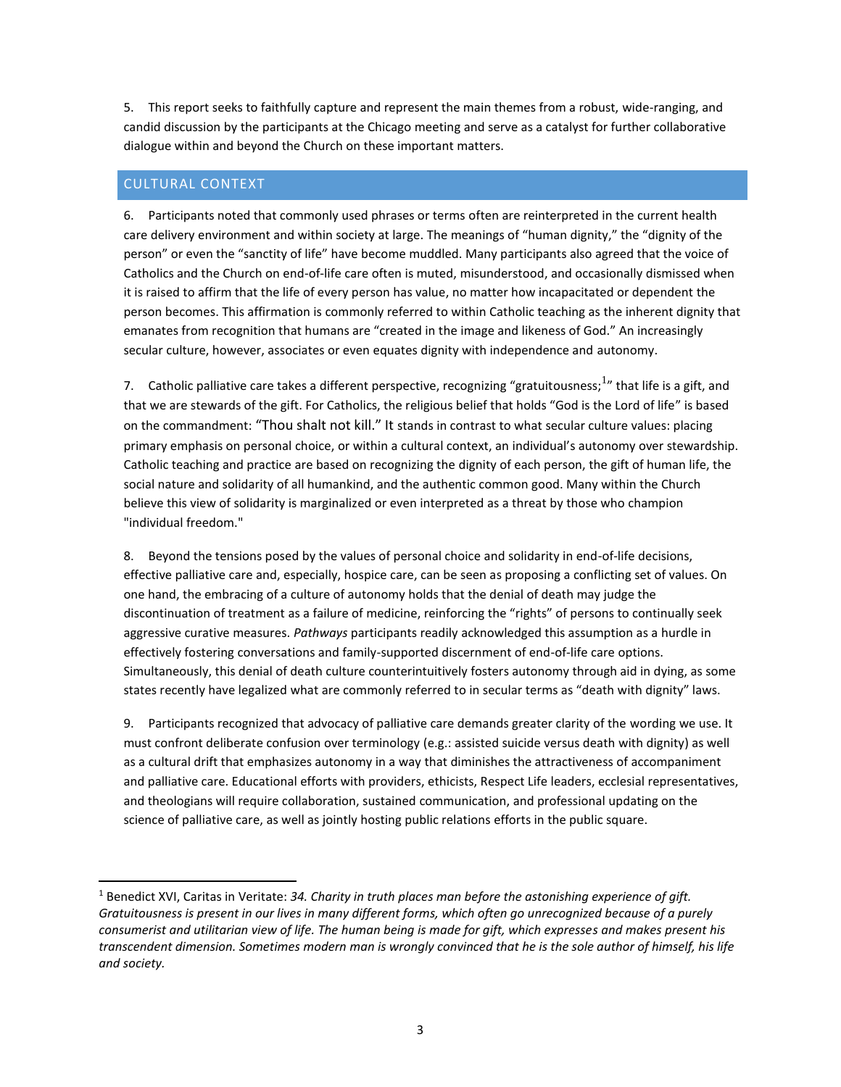5. This report seeks to faithfully capture and represent the main themes from a robust, wide-ranging, and candid discussion by the participants at the Chicago meeting and serve as a catalyst for further collaborative dialogue within and beyond the Church on these important matters.

## CULTURAL CONTEXT

 $\overline{a}$ 

6. Participants noted that commonly used phrases or terms often are reinterpreted in the current health care delivery environment and within society at large. The meanings of "human dignity," the "dignity of the person" or even the "sanctity of life" have become muddled. Many participants also agreed that the voice of Catholics and the Church on end-of-life care often is muted, misunderstood, and occasionally dismissed when it is raised to affirm that the life of every person has value, no matter how incapacitated or dependent the person becomes. This affirmation is commonly referred to within Catholic teaching as the inherent dignity that emanates from recognition that humans are "created in the image and likeness of God." An increasingly secular culture, however, associates or even equates dignity with independence and autonomy.

7. Catholic palliative care takes a different perspective, recognizing "gratuitousness; <sup>1</sup>" that life is a gift, and that we are stewards of the gift. For Catholics, the religious belief that holds "God is the Lord of life" is based on the commandment: "Thou shalt not kill." It stands in contrast to what secular culture values: placing primary emphasis on personal choice, or within a cultural context, an individual's autonomy over stewardship. Catholic teaching and practice are based on recognizing the dignity of each person, the gift of human life, the social nature and solidarity of all humankind, and the authentic common good. Many within the Church believe this view of solidarity is marginalized or even interpreted as a threat by those who champion "individual freedom."

8. Beyond the tensions posed by the values of personal choice and solidarity in end-of-life decisions, effective palliative care and, especially, hospice care, can be seen as proposing a conflicting set of values. On one hand, the embracing of a culture of autonomy holds that the denial of death may judge the discontinuation of treatment as a failure of medicine, reinforcing the "rights" of persons to continually seek aggressive curative measures. *Pathways* participants readily acknowledged this assumption as a hurdle in effectively fostering conversations and family-supported discernment of end-of-life care options. Simultaneously, this denial of death culture counterintuitively fosters autonomy through aid in dying, as some states recently have legalized what are commonly referred to in secular terms as "death with dignity" laws.

9. Participants recognized that advocacy of palliative care demands greater clarity of the wording we use. It must confront deliberate confusion over terminology (e.g.: assisted suicide versus death with dignity) as well as a cultural drift that emphasizes autonomy in a way that diminishes the attractiveness of accompaniment and palliative care. Educational efforts with providers, ethicists, Respect Life leaders, ecclesial representatives, and theologians will require collaboration, sustained communication, and professional updating on the science of palliative care, as well as jointly hosting public relations efforts in the public square.

<sup>1</sup> Benedict XVI, Caritas in Veritate: *34. Charity in truth places man before the astonishing experience of gift. Gratuitousness is present in our lives in many different forms, which often go unrecognized because of a purely consumerist and utilitarian view of life. The human being is made for gift, which expresses and makes present his transcendent dimension. Sometimes modern man is wrongly convinced that he is the sole author of himself, his life and society.*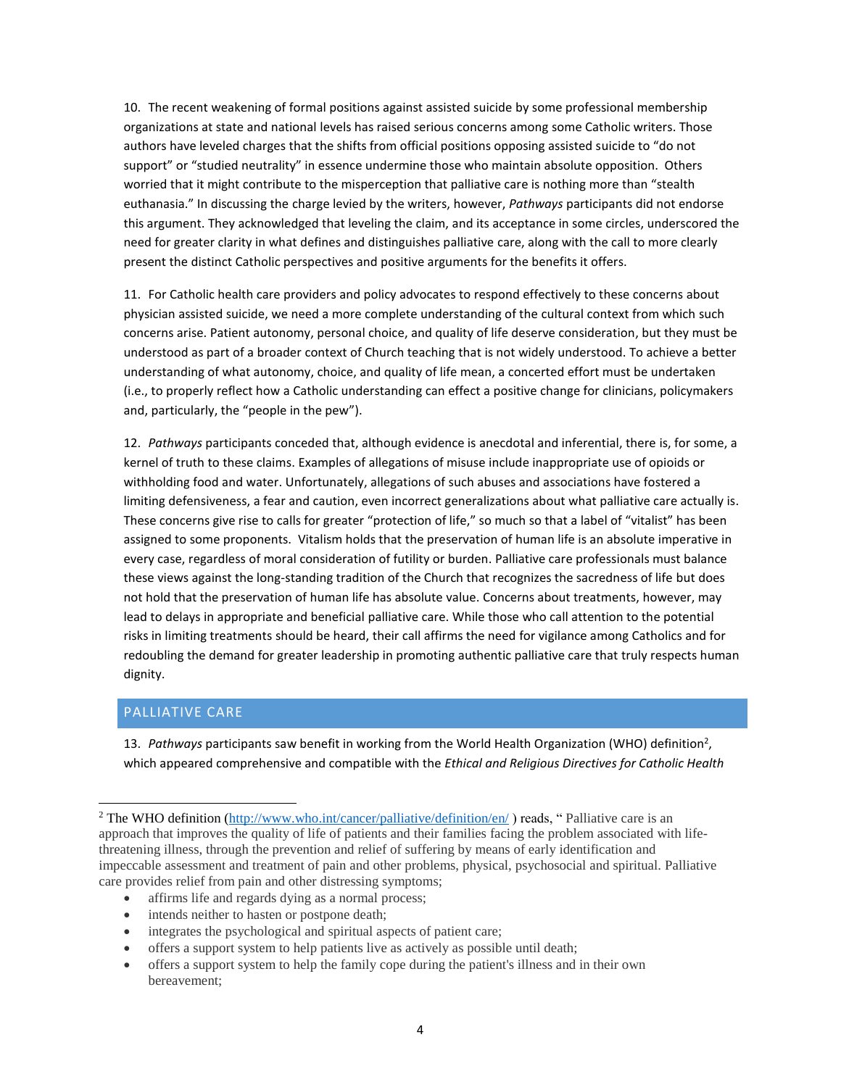10. The recent weakening of formal positions against assisted suicide by some professional membership organizations at state and national levels has raised serious concerns among some Catholic writers. Those authors have leveled charges that the shifts from official positions opposing assisted suicide to "do not support" or "studied neutrality" in essence undermine those who maintain absolute opposition. Others worried that it might contribute to the misperception that palliative care is nothing more than "stealth euthanasia." In discussing the charge levied by the writers, however, *Pathways* participants did not endorse this argument. They acknowledged that leveling the claim, and its acceptance in some circles, underscored the need for greater clarity in what defines and distinguishes palliative care, along with the call to more clearly present the distinct Catholic perspectives and positive arguments for the benefits it offers.

11. For Catholic health care providers and policy advocates to respond effectively to these concerns about physician assisted suicide, we need a more complete understanding of the cultural context from which such concerns arise. Patient autonomy, personal choice, and quality of life deserve consideration, but they must be understood as part of a broader context of Church teaching that is not widely understood. To achieve a better understanding of what autonomy, choice, and quality of life mean, a concerted effort must be undertaken (i.e., to properly reflect how a Catholic understanding can effect a positive change for clinicians, policymakers and, particularly, the "people in the pew").

12. *Pathways* participants conceded that, although evidence is anecdotal and inferential, there is, for some, a kernel of truth to these claims. Examples of allegations of misuse include inappropriate use of opioids or withholding food and water. Unfortunately, allegations of such abuses and associations have fostered a limiting defensiveness, a fear and caution, even incorrect generalizations about what palliative care actually is. These concerns give rise to calls for greater "protection of life," so much so that a label of "vitalist" has been assigned to some proponents. Vitalism holds that the preservation of human life is an absolute imperative in every case, regardless of moral consideration of futility or burden. Palliative care professionals must balance these views against the long-standing tradition of the Church that recognizes the sacredness of life but does not hold that the preservation of human life has absolute value. Concerns about treatments, however, may lead to delays in appropriate and beneficial palliative care. While those who call attention to the potential risks in limiting treatments should be heard, their call affirms the need for vigilance among Catholics and for redoubling the demand for greater leadership in promoting authentic palliative care that truly respects human dignity.

## PALLIATIVE CARE

 $\overline{a}$ 

13. Pathways participants saw benefit in working from the World Health Organization (WHO) definition<sup>2</sup>, which appeared comprehensive and compatible with the *Ethical and Religious Directives for Catholic Health* 

- affirms life and regards dying as a normal process;
- intends neither to hasten or postpone death;
- integrates the psychological and spiritual aspects of patient care;
- offers a support system to help patients live as actively as possible until death;
- offers a support system to help the family cope during the patient's illness and in their own bereavement;

<sup>&</sup>lt;sup>2</sup> The WHO definition [\(http://www.who.int/cancer/palliative/definition/en/](http://www.who.int/cancer/pallitive/definition/en/)) reads, " Palliative care is an approach that improves the quality of life of patients and their families facing the problem associated with lifethreatening illness, through the prevention and relief of suffering by means of early identification and impeccable assessment and treatment of pain and other problems, physical, psychosocial and spiritual. Palliative care provides relief from pain and other distressing symptoms;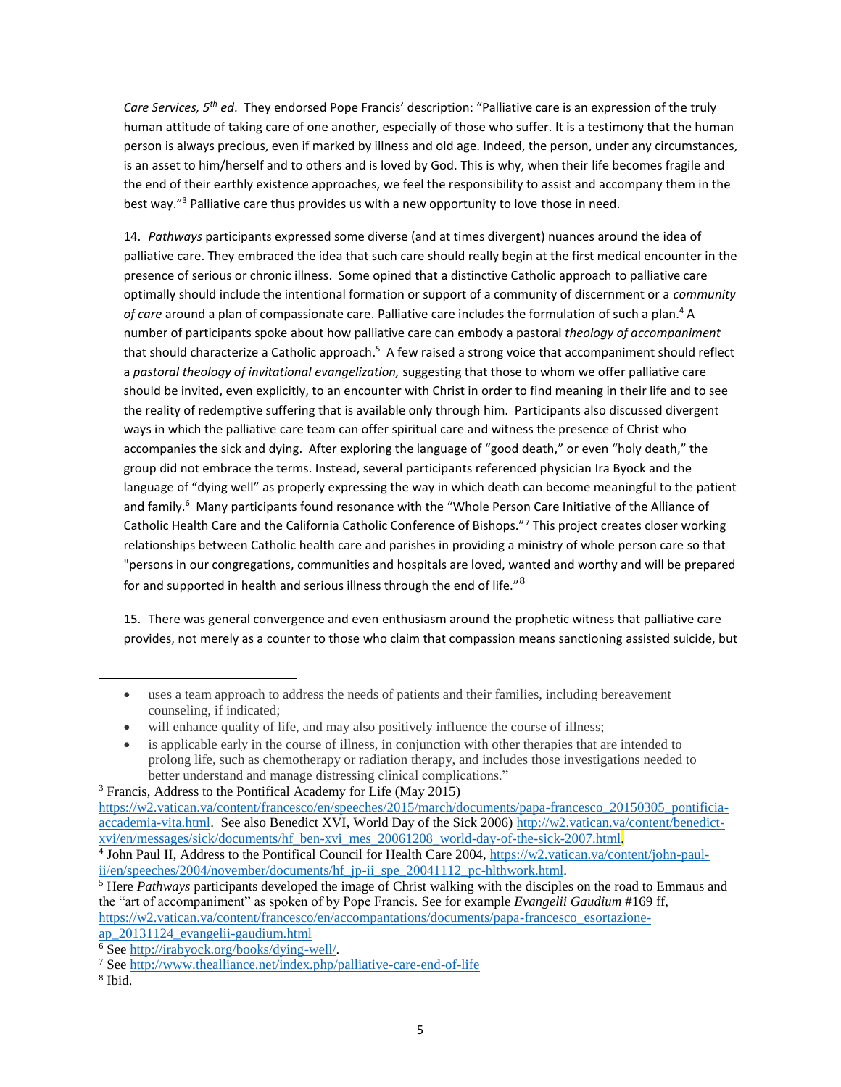*Care Services, 5th ed*. They endorsed Pope Francis' description: "Palliative care is an expression of the truly human attitude of taking care of one another, especially of those who suffer. It is a testimony that the human person is always precious, even if marked by illness and old age. Indeed, the person, under any circumstances, is an asset to him/herself and to others and is loved by God. This is why, when their life becomes fragile and the end of their earthly existence approaches, we feel the responsibility to assist and accompany them in the best way."<sup>3</sup> Palliative care thus provides us with a new opportunity to love those in need.

14. *Pathways* participants expressed some diverse (and at times divergent) nuances around the idea of palliative care. They embraced the idea that such care should really begin at the first medical encounter in the presence of serious or chronic illness. Some opined that a distinctive Catholic approach to palliative care optimally should include the intentional formation or support of a community of discernment or a *community of care* around a plan of compassionate care. Palliative care includes the formulation of such a plan. <sup>4</sup> A number of participants spoke about how palliative care can embody a pastoral *theology of accompaniment* that should characterize a Catholic approach.<sup>5</sup> A few raised a strong voice that accompaniment should reflect a *pastoral theology of invitational evangelization,* suggesting that those to whom we offer palliative care should be invited, even explicitly, to an encounter with Christ in order to find meaning in their life and to see the reality of redemptive suffering that is available only through him. Participants also discussed divergent ways in which the palliative care team can offer spiritual care and witness the presence of Christ who accompanies the sick and dying. After exploring the language of "good death," or even "holy death," the group did not embrace the terms. Instead, several participants referenced physician Ira Byock and the language of "dying well" as properly expressing the way in which death can become meaningful to the patient and family.<sup>6</sup> Many participants found resonance with the "Whole Person Care Initiative of the Alliance of Catholic Health Care and the California Catholic Conference of Bishops."<sup>7</sup> This project creates closer working relationships between Catholic health care and parishes in providing a ministry of whole person care so that "persons in our congregations, communities and hospitals are loved, wanted and worthy and will be prepared for and supported in health and serious illness through the end of life." $8$ 

15. There was general convergence and even enthusiasm around the prophetic witness that palliative care provides, not merely as a counter to those who claim that compassion means sanctioning assisted suicide, but

<sup>3</sup> Francis, Address to the Pontifical Academy for Life (May 2015)

<sup>6</sup> Se[e http://irabyock.org/books/dying-well/.](http://irabyock.org/books/dying-well/)

 $\overline{a}$ 

<sup>•</sup> uses a team approach to address the needs of patients and their families, including bereavement counseling, if indicated;

will enhance quality of life, and may also positively influence the course of illness;

<sup>•</sup> is applicable early in the course of illness, in conjunction with other therapies that are intended to prolong life, such as chemotherapy or radiation therapy, and includes those investigations needed to better understand and manage distressing clinical complications."

[https://w2.vatican.va/content/francesco/en/speeches/2015/march/documents/papa-francesco\\_20150305\\_pontificia](https://w2.vatican.va/content/francesco/en/speeches/2015/march/documents/papa-francesco_20150305_pontificia-accademia-vita.html)[accademia-vita.html.](https://w2.vatican.va/content/francesco/en/speeches/2015/march/documents/papa-francesco_20150305_pontificia-accademia-vita.html) See also Benedict XVI, World Day of the Sick 2006) [http://w2.vatican.va/content/benedict](http://w2.vatican.va/content/benedict-xvi/en/messages/sick/documents/hf_ben-xvi_mes_20061208_world-day-of-the-sick-2007.html)[xvi/en/messages/sick/documents/hf\\_ben-xvi\\_mes\\_20061208\\_world-day-of-the-sick-2007.html.](http://w2.vatican.va/content/benedict-xvi/en/messages/sick/documents/hf_ben-xvi_mes_20061208_world-day-of-the-sick-2007.html)

<sup>&</sup>lt;sup>4</sup> John Paul II, Address to the Pontifical Council for Health Care 2004[, https://w2.vatican.va/content/john-paul](https://w2.vatican.va/content/john-paul-ii/en/speeches/2004/november/documents/hf_jp-ii_spe_20041112_pc-hlthwork.html)ii/en/speeches/2004/november/documents/hf\_jp-ii\_spe\_20041112\_pc-hlthwork.html.

<sup>5</sup> Here *Pathways* participants developed the image of Christ walking with the disciples on the road to Emmaus and the "art of accompaniment" as spoken of by Pope Francis. See for example *Evangelii Gaudium* #169 ff, [https://w2.vatican.va/content/francesco/en/accompantations/documents/papa-francesco\\_esortazione](https://w2.vatican.va/content/francesco/en/accompantations/documents/papa-francesco_esortazione-ap_20131124_evangelii-gaudium.html)[ap\\_20131124\\_evangelii-gaudium.html](https://w2.vatican.va/content/francesco/en/accompantations/documents/papa-francesco_esortazione-ap_20131124_evangelii-gaudium.html)

<sup>7</sup> Se[e http://www.thealliance.net/index.php/palliative-care-end-of-life](http://www.thealliance.net/index.php/palliative-care-end-of-life) 

<sup>8</sup> Ibid.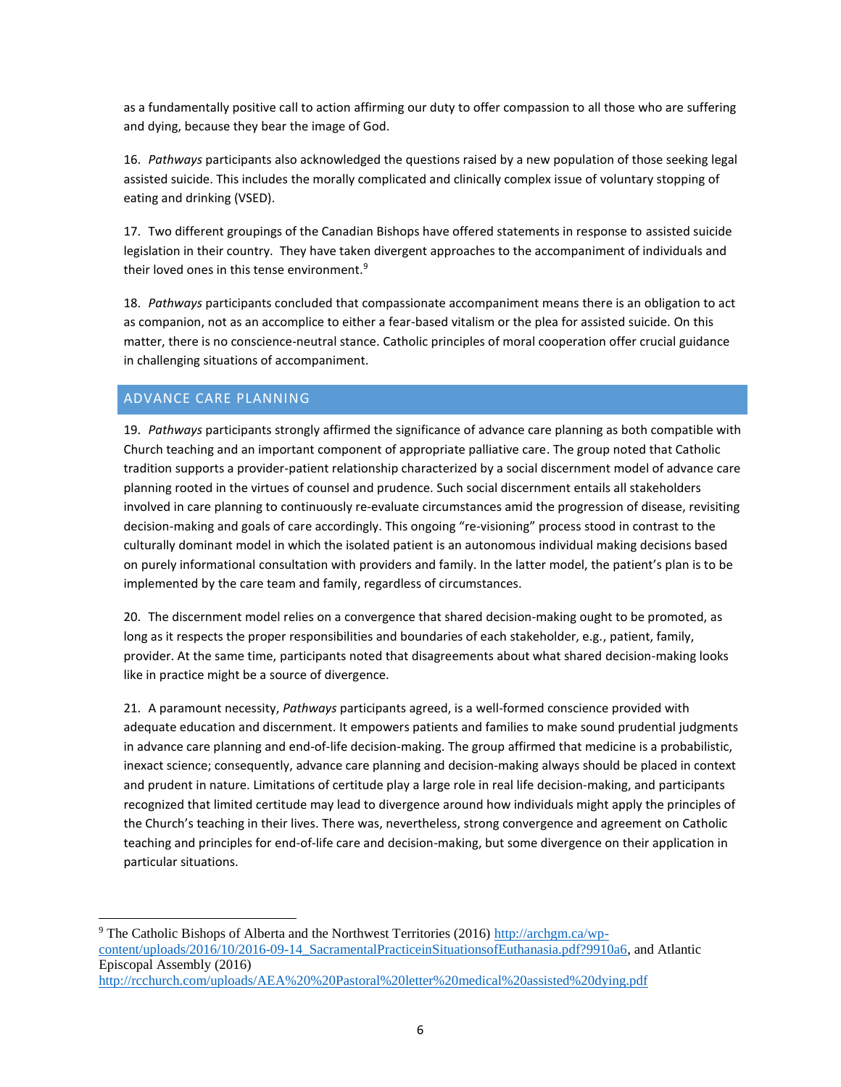as a fundamentally positive call to action affirming our duty to offer compassion to all those who are suffering and dying, because they bear the image of God.

16. *Pathways* participants also acknowledged the questions raised by a new population of those seeking legal assisted suicide. This includes the morally complicated and clinically complex issue of voluntary stopping of eating and drinking (VSED).

17. Two different groupings of the Canadian Bishops have offered statements in response to assisted suicide legislation in their country. They have taken divergent approaches to the accompaniment of individuals and their loved ones in this tense environment.<sup>9</sup>

18. *Pathways* participants concluded that compassionate accompaniment means there is an obligation to act as companion, not as an accomplice to either a fear-based vitalism or the plea for assisted suicide. On this matter, there is no conscience-neutral stance. Catholic principles of moral cooperation offer crucial guidance in challenging situations of accompaniment.

### ADVANCE CARE PLANNING

 $\overline{a}$ 

19. *Pathways* participants strongly affirmed the significance of advance care planning as both compatible with Church teaching and an important component of appropriate palliative care. The group noted that Catholic tradition supports a provider-patient relationship characterized by a social discernment model of advance care planning rooted in the virtues of counsel and prudence. Such social discernment entails all stakeholders involved in care planning to continuously re-evaluate circumstances amid the progression of disease, revisiting decision-making and goals of care accordingly. This ongoing "re-visioning" process stood in contrast to the culturally dominant model in which the isolated patient is an autonomous individual making decisions based on purely informational consultation with providers and family. In the latter model, the patient's plan is to be implemented by the care team and family, regardless of circumstances.

20. The discernment model relies on a convergence that shared decision-making ought to be promoted, as long as it respects the proper responsibilities and boundaries of each stakeholder, e.g., patient, family, provider. At the same time, participants noted that disagreements about what shared decision-making looks like in practice might be a source of divergence.

21. A paramount necessity, *Pathways* participants agreed, is a well-formed conscience provided with adequate education and discernment. It empowers patients and families to make sound prudential judgments in advance care planning and end-of-life decision-making. The group affirmed that medicine is a probabilistic, inexact science; consequently, advance care planning and decision-making always should be placed in context and prudent in nature. Limitations of certitude play a large role in real life decision-making, and participants recognized that limited certitude may lead to divergence around how individuals might apply the principles of the Church's teaching in their lives. There was, nevertheless, strong convergence and agreement on Catholic teaching and principles for end-of-life care and decision-making, but some divergence on their application in particular situations.

<sup>9</sup> The Catholic Bishops of Alberta and the Northwest Territories (2016) [http://archgm.ca/wp](http://archgm.ca/wp-content/uploads/2016/10/2016-09-14_SacramentalPracticeinSituationsofEuthanasia.pdf?9910a6)[content/uploads/2016/10/2016-09-14\\_SacramentalPracticeinSituationsofEuthanasia.pdf?9910a6,](http://archgm.ca/wp-content/uploads/2016/10/2016-09-14_SacramentalPracticeinSituationsofEuthanasia.pdf?9910a6) and Atlantic Episcopal Assembly (2016) <http://rcchurch.com/uploads/AEA%20%20Pastoral%20letter%20medical%20assisted%20dying.pdf>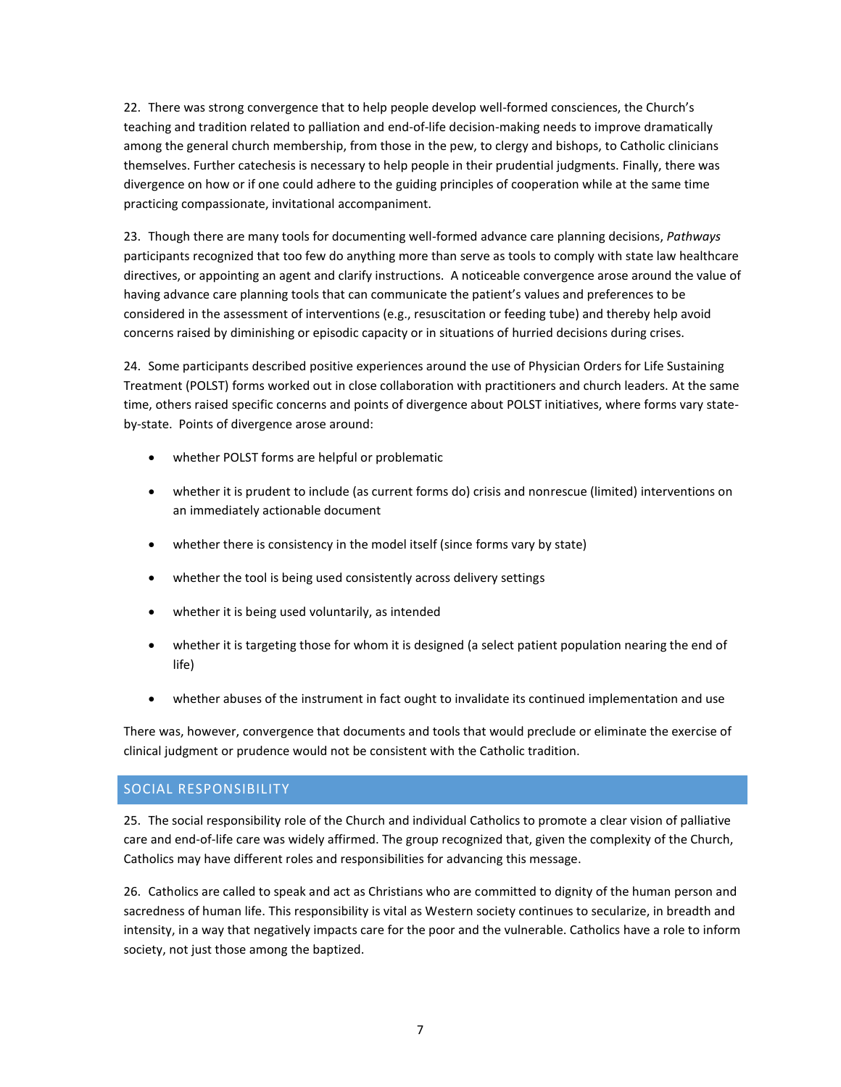22. There was strong convergence that to help people develop well-formed consciences, the Church's teaching and tradition related to palliation and end-of-life decision-making needs to improve dramatically among the general church membership, from those in the pew, to clergy and bishops, to Catholic clinicians themselves. Further catechesis is necessary to help people in their prudential judgments. Finally, there was divergence on how or if one could adhere to the guiding principles of cooperation while at the same time practicing compassionate, invitational accompaniment.

23. Though there are many tools for documenting well-formed advance care planning decisions, *Pathways* participants recognized that too few do anything more than serve as tools to comply with state law healthcare directives, or appointing an agent and clarify instructions. A noticeable convergence arose around the value of having advance care planning tools that can communicate the patient's values and preferences to be considered in the assessment of interventions (e.g., resuscitation or feeding tube) and thereby help avoid concerns raised by diminishing or episodic capacity or in situations of hurried decisions during crises.

24. Some participants described positive experiences around the use of Physician Orders for Life Sustaining Treatment (POLST) forms worked out in close collaboration with practitioners and church leaders. At the same time, others raised specific concerns and points of divergence about POLST initiatives, where forms vary stateby-state. Points of divergence arose around:

- whether POLST forms are helpful or problematic
- whether it is prudent to include (as current forms do) crisis and nonrescue (limited) interventions on an immediately actionable document
- whether there is consistency in the model itself (since forms vary by state)
- whether the tool is being used consistently across delivery settings
- whether it is being used voluntarily, as intended
- whether it is targeting those for whom it is designed (a select patient population nearing the end of life)
- whether abuses of the instrument in fact ought to invalidate its continued implementation and use

There was, however, convergence that documents and tools that would preclude or eliminate the exercise of clinical judgment or prudence would not be consistent with the Catholic tradition.

## SOCIAL RESPONSIBILITY

25. The social responsibility role of the Church and individual Catholics to promote a clear vision of palliative care and end-of-life care was widely affirmed. The group recognized that, given the complexity of the Church, Catholics may have different roles and responsibilities for advancing this message.

26. Catholics are called to speak and act as Christians who are committed to dignity of the human person and sacredness of human life. This responsibility is vital as Western society continues to secularize, in breadth and intensity, in a way that negatively impacts care for the poor and the vulnerable. Catholics have a role to inform society, not just those among the baptized.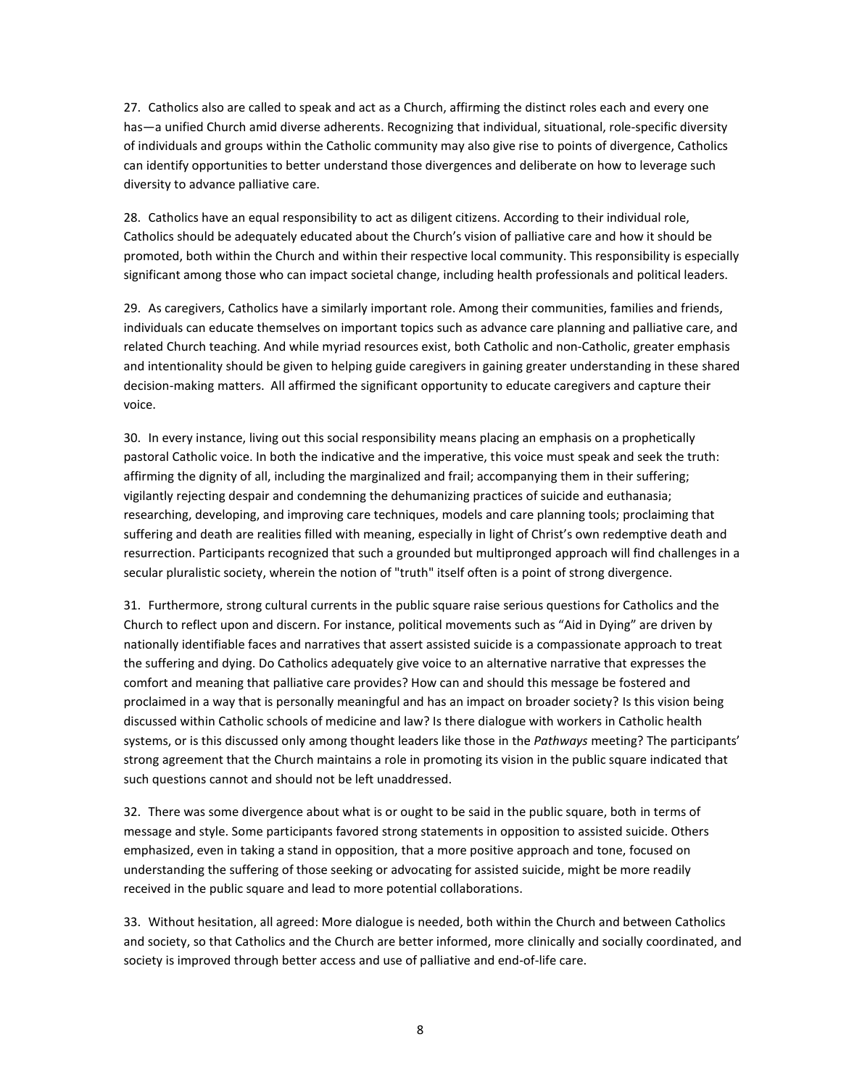27. Catholics also are called to speak and act as a Church, affirming the distinct roles each and every one has—a unified Church amid diverse adherents. Recognizing that individual, situational, role-specific diversity of individuals and groups within the Catholic community may also give rise to points of divergence, Catholics can identify opportunities to better understand those divergences and deliberate on how to leverage such diversity to advance palliative care.

28. Catholics have an equal responsibility to act as diligent citizens. According to their individual role, Catholics should be adequately educated about the Church's vision of palliative care and how it should be promoted, both within the Church and within their respective local community. This responsibility is especially significant among those who can impact societal change, including health professionals and political leaders.

29. As caregivers, Catholics have a similarly important role. Among their communities, families and friends, individuals can educate themselves on important topics such as advance care planning and palliative care, and related Church teaching. And while myriad resources exist, both Catholic and non-Catholic, greater emphasis and intentionality should be given to helping guide caregivers in gaining greater understanding in these shared decision-making matters. All affirmed the significant opportunity to educate caregivers and capture their voice.

30. In every instance, living out this social responsibility means placing an emphasis on a prophetically pastoral Catholic voice. In both the indicative and the imperative, this voice must speak and seek the truth: affirming the dignity of all, including the marginalized and frail; accompanying them in their suffering; vigilantly rejecting despair and condemning the dehumanizing practices of suicide and euthanasia; researching, developing, and improving care techniques, models and care planning tools; proclaiming that suffering and death are realities filled with meaning, especially in light of Christ's own redemptive death and resurrection. Participants recognized that such a grounded but multipronged approach will find challenges in a secular pluralistic society, wherein the notion of "truth" itself often is a point of strong divergence.

31. Furthermore, strong cultural currents in the public square raise serious questions for Catholics and the Church to reflect upon and discern. For instance, political movements such as "Aid in Dying" are driven by nationally identifiable faces and narratives that assert assisted suicide is a compassionate approach to treat the suffering and dying. Do Catholics adequately give voice to an alternative narrative that expresses the comfort and meaning that palliative care provides? How can and should this message be fostered and proclaimed in a way that is personally meaningful and has an impact on broader society? Is this vision being discussed within Catholic schools of medicine and law? Is there dialogue with workers in Catholic health systems, or is this discussed only among thought leaders like those in the *Pathways* meeting? The participants' strong agreement that the Church maintains a role in promoting its vision in the public square indicated that such questions cannot and should not be left unaddressed.

32. There was some divergence about what is or ought to be said in the public square, both in terms of message and style. Some participants favored strong statements in opposition to assisted suicide. Others emphasized, even in taking a stand in opposition, that a more positive approach and tone, focused on understanding the suffering of those seeking or advocating for assisted suicide, might be more readily received in the public square and lead to more potential collaborations.

33. Without hesitation, all agreed: More dialogue is needed, both within the Church and between Catholics and society, so that Catholics and the Church are better informed, more clinically and socially coordinated, and society is improved through better access and use of palliative and end-of-life care.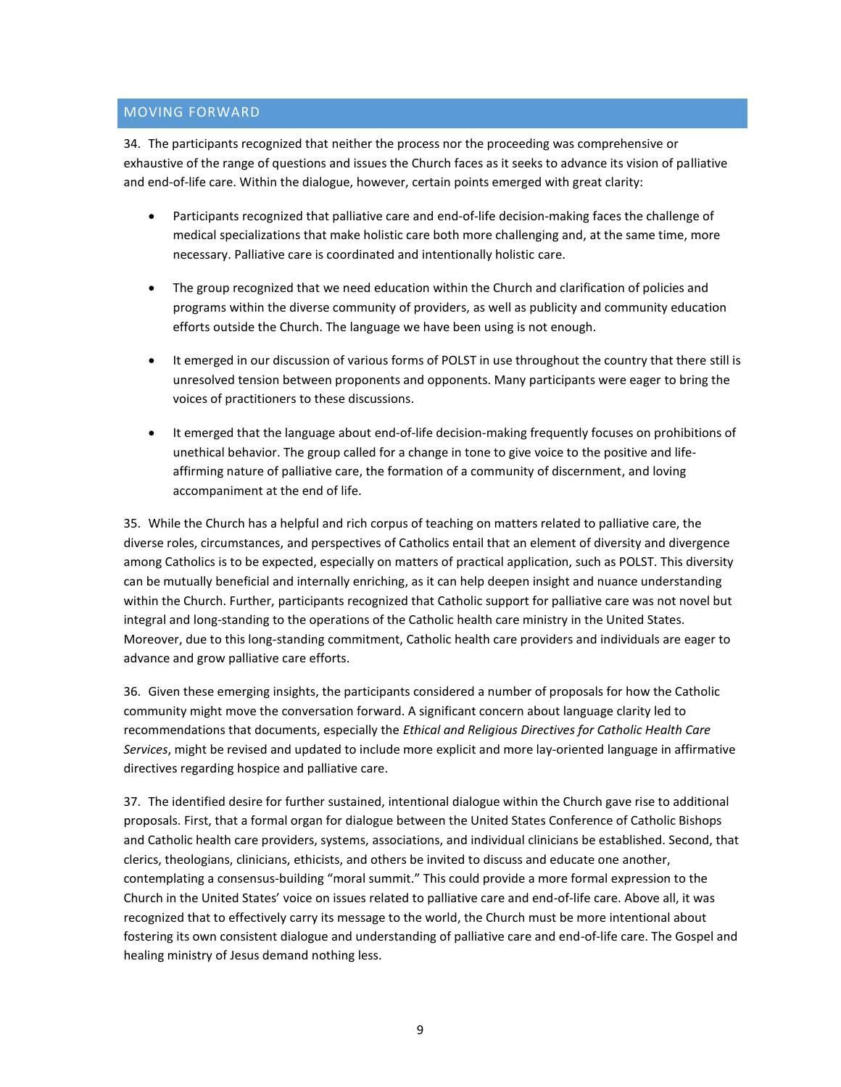### MOVING FORWARD

34. The participants recognized that neither the process nor the proceeding was comprehensive or exhaustive of the range of questions and issues the Church faces as it seeks to advance its vision of palliative and end-of-life care. Within the dialogue, however, certain points emerged with great clarity:

- Participants recognized that palliative care and end-of-life decision-making faces the challenge of medical specializations that make holistic care both more challenging and, at the same time, more necessary. Palliative care is coordinated and intentionally holistic care.
- The group recognized that we need education within the Church and clarification of policies and programs within the diverse community of providers, as well as publicity and community education efforts outside the Church. The language we have been using is not enough.
- It emerged in our discussion of various forms of POLST in use throughout the country that there still is unresolved tension between proponents and opponents. Many participants were eager to bring the voices of practitioners to these discussions.
- It emerged that the language about end-of-life decision-making frequently focuses on prohibitions of unethical behavior. The group called for a change in tone to give voice to the positive and lifeaffirming nature of palliative care, the formation of a community of discernment, and loving accompaniment at the end of life.

35. While the Church has a helpful and rich corpus of teaching on matters related to palliative care, the diverse roles, circumstances, and perspectives of Catholics entail that an element of diversity and divergence among Catholics is to be expected, especially on matters of practical application, such as POLST. This diversity can be mutually beneficial and internally enriching, as it can help deepen insight and nuance understanding within the Church. Further, participants recognized that Catholic support for palliative care was not novel but integral and long-standing to the operations of the Catholic health care ministry in the United States. Moreover, due to this long-standing commitment, Catholic health care providers and individuals are eager to advance and grow palliative care efforts.

36. Given these emerging insights, the participants considered a number of proposals for how the Catholic community might move the conversation forward. A significant concern about language clarity led to recommendations that documents, especially the *Ethical and Religious Directives for Catholic Health Care Services*, might be revised and updated to include more explicit and more lay-oriented language in affirmative directives regarding hospice and palliative care.

37. The identified desire for further sustained, intentional dialogue within the Church gave rise to additional proposals. First, that a formal organ for dialogue between the United States Conference of Catholic Bishops and Catholic health care providers, systems, associations, and individual clinicians be established. Second, that clerics, theologians, clinicians, ethicists, and others be invited to discuss and educate one another, contemplating a consensus-building "moral summit." This could provide a more formal expression to the Church in the United States' voice on issues related to palliative care and end-of-life care. Above all, it was recognized that to effectively carry its message to the world, the Church must be more intentional about fostering its own consistent dialogue and understanding of palliative care and end-of-life care. The Gospel and healing ministry of Jesus demand nothing less.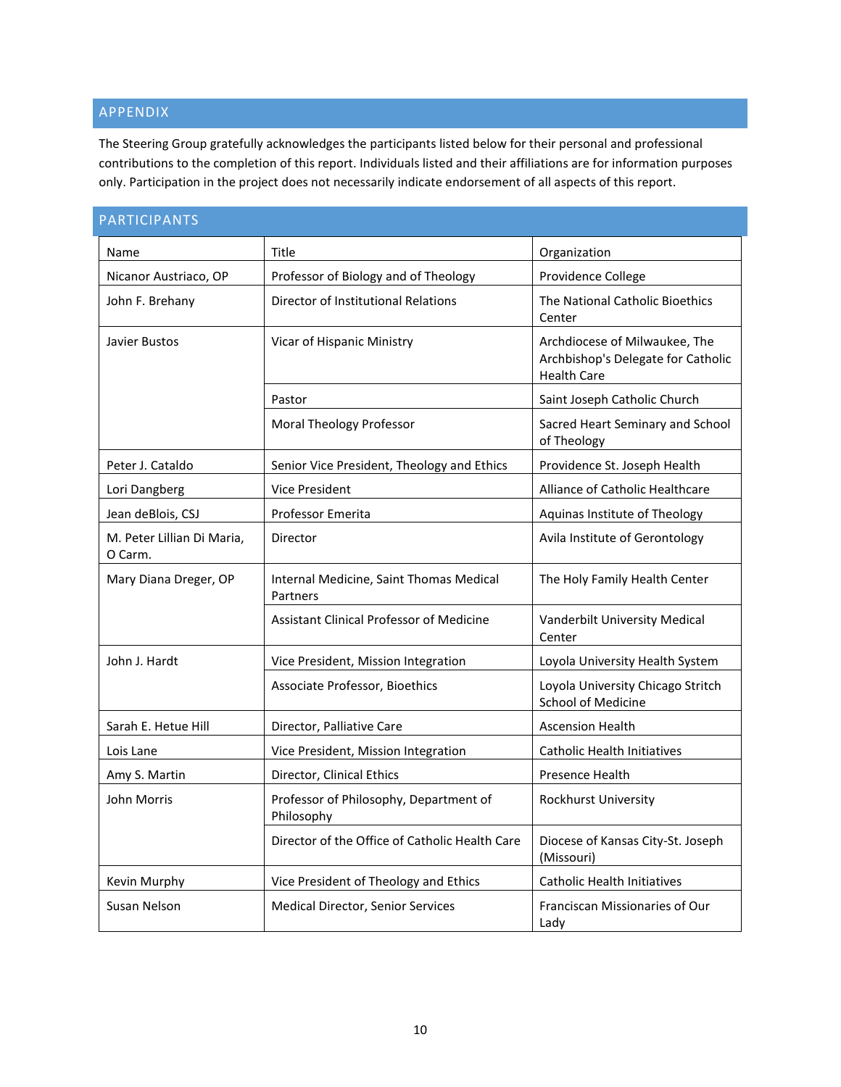## APPENDIX

The Steering Group gratefully acknowledges the participants listed below for their personal and professional contributions to the completion of this report. Individuals listed and their affiliations are for information purposes only. Participation in the project does not necessarily indicate endorsement of all aspects of this report.

| PARTICIPANTS                          |                                                      |                                                                                           |
|---------------------------------------|------------------------------------------------------|-------------------------------------------------------------------------------------------|
| Name                                  | Title                                                | Organization                                                                              |
| Nicanor Austriaco, OP                 | Professor of Biology and of Theology                 | Providence College                                                                        |
| John F. Brehany                       | Director of Institutional Relations                  | The National Catholic Bioethics<br>Center                                                 |
| Javier Bustos                         | Vicar of Hispanic Ministry                           | Archdiocese of Milwaukee, The<br>Archbishop's Delegate for Catholic<br><b>Health Care</b> |
|                                       | Pastor                                               | Saint Joseph Catholic Church                                                              |
|                                       | <b>Moral Theology Professor</b>                      | Sacred Heart Seminary and School<br>of Theology                                           |
| Peter J. Cataldo                      | Senior Vice President, Theology and Ethics           | Providence St. Joseph Health                                                              |
| Lori Dangberg                         | Vice President                                       | Alliance of Catholic Healthcare                                                           |
| Jean deBlois, CSJ                     | Professor Emerita                                    | Aquinas Institute of Theology                                                             |
| M. Peter Lillian Di Maria,<br>O Carm. | Director                                             | Avila Institute of Gerontology                                                            |
| Mary Diana Dreger, OP                 | Internal Medicine, Saint Thomas Medical<br>Partners  | The Holy Family Health Center                                                             |
|                                       | <b>Assistant Clinical Professor of Medicine</b>      | Vanderbilt University Medical<br>Center                                                   |
| John J. Hardt                         | Vice President, Mission Integration                  | Loyola University Health System                                                           |
|                                       | Associate Professor, Bioethics                       | Loyola University Chicago Stritch<br><b>School of Medicine</b>                            |
| Sarah E. Hetue Hill                   | Director, Palliative Care                            | <b>Ascension Health</b>                                                                   |
| Lois Lane                             | Vice President, Mission Integration                  | <b>Catholic Health Initiatives</b>                                                        |
| Amy S. Martin                         | Director, Clinical Ethics                            | Presence Health                                                                           |
| John Morris                           | Professor of Philosophy, Department of<br>Philosophy | Rockhurst University                                                                      |
|                                       | Director of the Office of Catholic Health Care       | Diocese of Kansas City-St. Joseph<br>(Missouri)                                           |
| Kevin Murphy                          | Vice President of Theology and Ethics                | <b>Catholic Health Initiatives</b>                                                        |
| Susan Nelson                          | Medical Director, Senior Services                    | Franciscan Missionaries of Our<br>Lady                                                    |